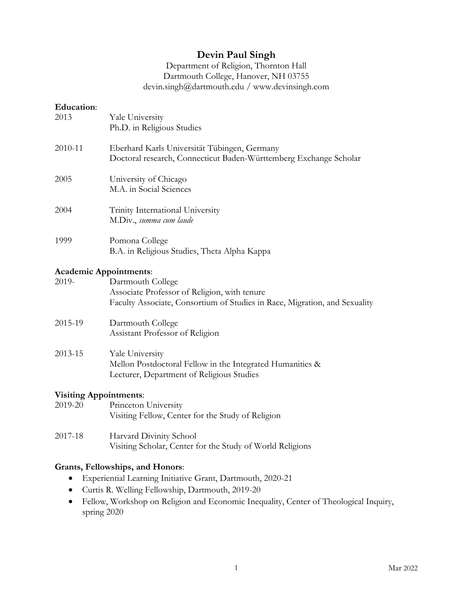# **Devin Paul Singh**

### Department of Religion, Thornton Hall Dartmouth College, Hanover, NH 03755 devin.singh@dartmouth.edu / www.devinsingh.com

### **Education**:

| 2013    | Yale University<br>Ph.D. in Religious Studies                                                                     |
|---------|-------------------------------------------------------------------------------------------------------------------|
| 2010-11 | Eberhard Karls Universität Tübingen, Germany<br>Doctoral research, Connecticut Baden-Württemberg Exchange Scholar |
| 2005    | University of Chicago<br>M.A. in Social Sciences                                                                  |
| 2004    | Trinity International University<br>M.Div., summa cum laude                                                       |
| 1999    | Pomona College<br>B.A. in Religious Studies, Theta Alpha Kappa                                                    |

#### **Academic Appointments**:

| 2019-                         | Dartmouth College                                                          |
|-------------------------------|----------------------------------------------------------------------------|
|                               | Associate Professor of Religion, with tenure                               |
|                               | Faculty Associate, Consortium of Studies in Race, Migration, and Sexuality |
| 2015-19                       | Dartmouth College                                                          |
|                               | Assistant Professor of Religion                                            |
| 2013-15                       | Yale University                                                            |
|                               | Mellon Postdoctoral Fellow in the Integrated Humanities &                  |
|                               | Lecturer, Department of Religious Studies                                  |
| <b>Visiting Appointments:</b> |                                                                            |
| 2019-20                       | Princeton University                                                       |
|                               | Visiting Fellow, Center for the Study of Religion                          |

## 2017-18 Harvard Divinity School Visiting Scholar, Center for the Study of World Religions

### **Grants, Fellowships, and Honors**:

- Experiential Learning Initiative Grant, Dartmouth, 2020-21
- Curtis R. Welling Fellowship, Dartmouth, 2019-20
- Fellow, Workshop on Religion and Economic Inequality, Center of Theological Inquiry, spring 2020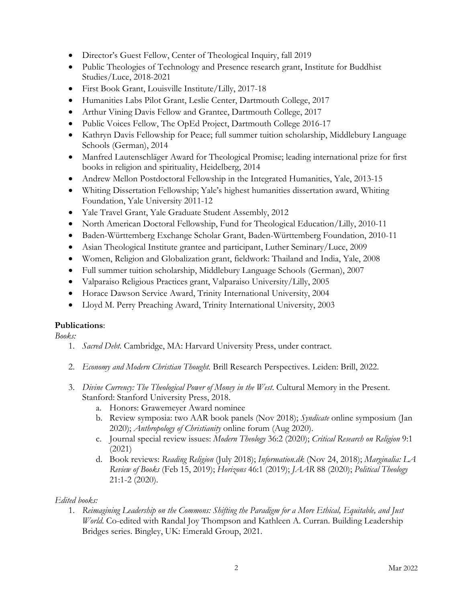- Director's Guest Fellow, Center of Theological Inquiry, fall 2019
- Public Theologies of Technology and Presence research grant, Institute for Buddhist Studies/Luce, 2018-2021
- First Book Grant, Louisville Institute/Lilly, 2017-18
- Humanities Labs Pilot Grant, Leslie Center, Dartmouth College, 2017
- Arthur Vining Davis Fellow and Grantee, Dartmouth College, 2017
- Public Voices Fellow, The OpEd Project, Dartmouth College 2016-17
- Kathryn Davis Fellowship for Peace; full summer tuition scholarship, Middlebury Language Schools (German), 2014
- Manfred Lautenschläger Award for Theological Promise; leading international prize for first books in religion and spirituality, Heidelberg, 2014
- Andrew Mellon Postdoctoral Fellowship in the Integrated Humanities, Yale, 2013-15
- Whiting Dissertation Fellowship; Yale's highest humanities dissertation award, Whiting Foundation, Yale University 2011-12
- Yale Travel Grant, Yale Graduate Student Assembly, 2012
- North American Doctoral Fellowship, Fund for Theological Education/Lilly, 2010-11
- Baden-Württemberg Exchange Scholar Grant, Baden-Württemberg Foundation, 2010-11
- Asian Theological Institute grantee and participant, Luther Seminary/Luce, 2009
- Women, Religion and Globalization grant, fieldwork: Thailand and India, Yale, 2008
- Full summer tuition scholarship, Middlebury Language Schools (German), 2007
- Valparaiso Religious Practices grant, Valparaiso University/Lilly, 2005
- Horace Dawson Service Award, Trinity International University, 2004
- Lloyd M. Perry Preaching Award, Trinity International University, 2003

## **Publications**:

*Books:*

- 1. *Sacred Debt.* Cambridge, MA: Harvard University Press, under contract.
- 2. *Economy and Modern Christian Thought.* Brill Research Perspectives. Leiden: Brill, 2022.
- 3. *Divine Currency: The Theological Power of Money in the West*. Cultural Memory in the Present. Stanford: Stanford University Press, 2018.
	- a. Honors: Grawemeyer Award nominee
	- b. Review symposia: two AAR book panels (Nov 2018); *Syndicate* online symposium (Jan 2020); *Anthropology of Christianity* online forum (Aug 2020).
	- c. Journal special review issues: *Modern Theology* 36:2 (2020); *Critical Research on Religion* 9:1 (2021)
	- d. Book reviews: *Reading Religion* (July 2018); *Information.dk* (Nov 24, 2018); *Marginalia: LA Review of Books* (Feb 15, 2019); *Horizons* 46:1 (2019); *JAAR* 88 (2020); *Political Theology* 21:1-2 (2020).

## *Edited books:*

1. *Reimagining Leadership on the Commons: Shifting the Paradigm for a More Ethical, Equitable, and Just World*. Co-edited with Randal Joy Thompson and Kathleen A. Curran. Building Leadership Bridges series. Bingley, UK: Emerald Group, 2021.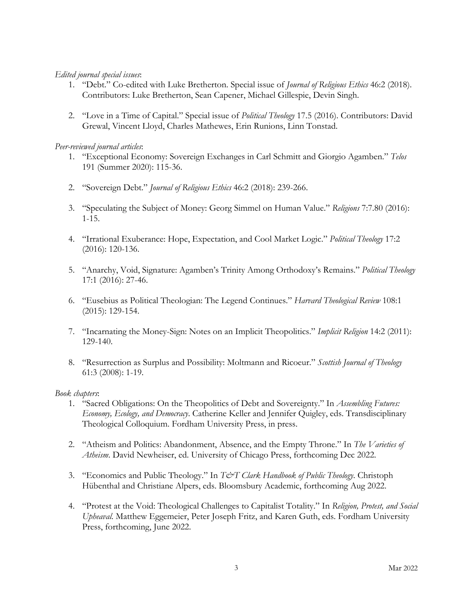### *Edited journal special issues*:

- 1. "Debt." Co-edited with Luke Bretherton. Special issue of *Journal of Religious Ethics* 46:2 (2018). Contributors: Luke Bretherton, Sean Capener, Michael Gillespie, Devin Singh.
- 2. "Love in a Time of Capital." Special issue of *Political Theology* 17.5 (2016). Contributors: David Grewal, Vincent Lloyd, Charles Mathewes, Erin Runions, Linn Tonstad.

### *Peer-reviewed journal articles*:

- 1. "Exceptional Economy: Sovereign Exchanges in Carl Schmitt and Giorgio Agamben." *Telos* 191 (Summer 2020): 115-36.
- 2. "Sovereign Debt." *Journal of Religious Ethics* 46:2 (2018): 239-266.
- 3. "Speculating the Subject of Money: Georg Simmel on Human Value." *Religions* 7:7.80 (2016): 1-15.
- 4. "Irrational Exuberance: Hope, Expectation, and Cool Market Logic." *Political Theology* 17:2 (2016): 120-136.
- 5. "Anarchy, Void, Signature: Agamben's Trinity Among Orthodoxy's Remains." *Political Theology* 17:1 (2016): 27-46.
- 6. "Eusebius as Political Theologian: The Legend Continues." *Harvard Theological Review* 108:1 (2015): 129-154.
- 7. "Incarnating the Money-Sign: Notes on an Implicit Theopolitics." *Implicit Religion* 14:2 (2011): 129-140.
- 8. "Resurrection as Surplus and Possibility: Moltmann and Ricoeur." *Scottish Journal of Theology* 61:3 (2008): 1-19.

### *Book chapters*:

- 1. "Sacred Obligations: On the Theopolitics of Debt and Sovereignty." In *Assembling Futures: Economy, Ecology, and Democracy*. Catherine Keller and Jennifer Quigley, eds. Transdisciplinary Theological Colloquium. Fordham University Press, in press.
- 2. "Atheism and Politics: Abandonment, Absence, and the Empty Throne." In *The Varieties of Atheism*. David Newheiser, ed. University of Chicago Press, forthcoming Dec 2022.
- 3. "Economics and Public Theology." In *T&T Clark Handbook of Public Theology*. Christoph Hübenthal and Christiane Alpers, eds. Bloomsbury Academic, forthcoming Aug 2022.
- 4. "Protest at the Void: Theological Challenges to Capitalist Totality." In *Religion, Protest, and Social Upheaval*. Matthew Eggemeier, Peter Joseph Fritz, and Karen Guth, eds. Fordham University Press, forthcoming, June 2022.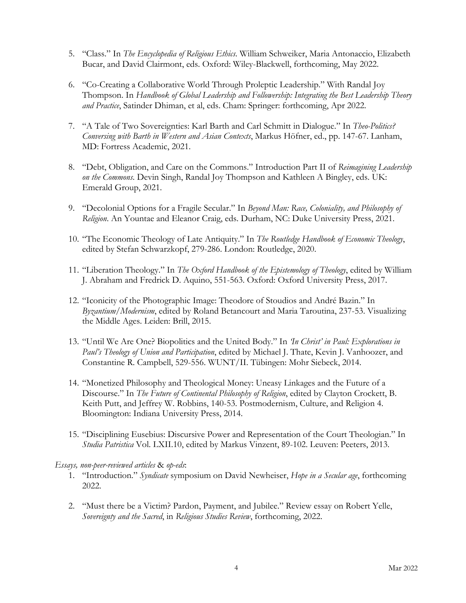- 5. "Class." In *The Encyclopedia of Religious Ethics*. William Schweiker, Maria Antonaccio, Elizabeth Bucar, and David Clairmont, eds. Oxford: Wiley-Blackwell, forthcoming, May 2022.
- 6. "Co-Creating a Collaborative World Through Proleptic Leadership." With Randal Joy Thompson. In *Handbook of Global Leadership and Followership: Integrating the Best Leadership Theory and Practice*, Satinder Dhiman, et al, eds. Cham: Springer: forthcoming, Apr 2022.
- 7. "A Tale of Two Sovereignties: Karl Barth and Carl Schmitt in Dialogue." In *Theo-Politics? Conversing with Barth in Western and Asian Contexts*, Markus Höfner, ed., pp. 147-67. Lanham, MD: Fortress Academic, 2021.
- 8. "Debt, Obligation, and Care on the Commons." Introduction Part II of *Reimagining Leadership on the Commons*. Devin Singh, Randal Joy Thompson and Kathleen A Bingley, eds. UK: Emerald Group, 2021.
- 9. "Decolonial Options for a Fragile Secular." In *Beyond Man: Race, Coloniality, and Philosophy of Religion*. An Yountae and Eleanor Craig, eds. Durham, NC: Duke University Press, 2021.
- 10. "The Economic Theology of Late Antiquity." In *The Routledge Handbook of Economic Theology*, edited by Stefan Schwarzkopf, 279-286. London: Routledge, 2020.
- 11. "Liberation Theology." In *The Oxford Handbook of the Epistemology of Theology*, edited by William J. Abraham and Fredrick D. Aquino, 551-563. Oxford: Oxford University Press, 2017.
- 12. "Iconicity of the Photographic Image: Theodore of Stoudios and André Bazin." In *Byzantium/Modernism*, edited by Roland Betancourt and Maria Taroutina, 237-53. Visualizing the Middle Ages. Leiden: Brill, 2015.
- 13. "Until We Are One? Biopolitics and the United Body." In *'In Christ' in Paul: Explorations in Paul's Theology of Union and Participation*, edited by Michael J. Thate, Kevin J. Vanhoozer, and Constantine R. Campbell, 529-556. WUNT/II. Tübingen: Mohr Siebeck, 2014.
- 14. "Monetized Philosophy and Theological Money: Uneasy Linkages and the Future of a Discourse." In *The Future of Continental Philosophy of Religion*, edited by Clayton Crockett, B. Keith Putt, and Jeffrey W. Robbins, 140-53. Postmodernism, Culture, and Religion 4. Bloomington: Indiana University Press, 2014.
- 15. "Disciplining Eusebius: Discursive Power and Representation of the Court Theologian." In *Studia Patristica* Vol. LXII.10, edited by Markus Vinzent, 89-102. Leuven: Peeters, 2013.

### *Essays, non-peer-reviewed articles* & *op-eds*:

- 1. "Introduction." *Syndicate* symposium on David Newheiser, *Hope in a Secular age*, forthcoming 2022.
- 2. "Must there be a Victim? Pardon, Payment, and Jubilee." Review essay on Robert Yelle, *Sovereignty and the Sacred*, in *Religious Studies Review*, forthcoming, 2022.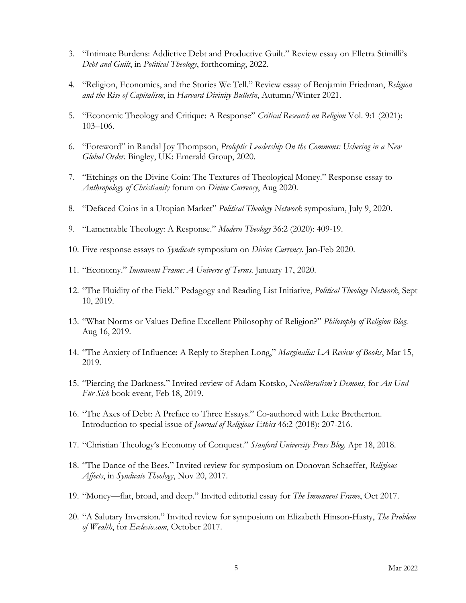- 3. "Intimate Burdens: Addictive Debt and Productive Guilt." Review essay on Elletra Stimilli's *Debt and Guilt*, in *Political Theology*, forthcoming, 2022.
- 4. "Religion, Economics, and the Stories We Tell." Review essay of Benjamin Friedman, *Religion and the Rise of Capitalism*, in *Harvard Divinity Bulletin*, Autumn/Winter 2021.
- 5. "Economic Theology and Critique: A Response" *Critical Research on Religion* Vol. 9:1 (2021): 103–106.
- 6. "Foreword" in Randal Joy Thompson, *Proleptic Leadership On the Commons: Ushering in a New Global Order*. Bingley, UK: Emerald Group, 2020.
- 7. "Etchings on the Divine Coin: The Textures of Theological Money." Response essay to *Anthropology of Christianity* forum on *Divine Currency*, Aug 2020.
- 8. "Defaced Coins in a Utopian Market" *Political Theology Network* symposium, July 9, 2020.
- 9. "Lamentable Theology: A Response." *Modern Theology* 36:2 (2020): 409-19.
- 10. Five response essays to *Syndicate* symposium on *Divine Currency*. Jan-Feb 2020.
- 11. "Economy." *Immanent Frame: A Universe of Terms*. January 17, 2020.
- 12. "The Fluidity of the Field." Pedagogy and Reading List Initiative, *Political Theology Network*, Sept 10, 2019.
- 13. "What Norms or Values Define Excellent Philosophy of Religion?" *Philosophy of Religion Blog*. Aug 16, 2019.
- 14. "The Anxiety of Influence: A Reply to Stephen Long," *Marginalia: LA Review of Books*, Mar 15, 2019.
- 15. "Piercing the Darkness." Invited review of Adam Kotsko, *Neoliberalism's Demons*, for *An Und Für Sich* book event, Feb 18, 2019.
- 16. "The Axes of Debt: A Preface to Three Essays." Co-authored with Luke Bretherton. Introduction to special issue of *Journal of Religious Ethics* 46:2 (2018): 207-216.
- 17. "Christian Theology's Economy of Conquest." *Stanford University Press Blog*. Apr 18, 2018.
- 18. "The Dance of the Bees." Invited review for symposium on Donovan Schaeffer, *Religious Affects*, in *Syndicate Theology*, Nov 20, 2017.
- 19. "Money—flat, broad, and deep." Invited editorial essay for *The Immanent Frame*, Oct 2017.
- 20. "A Salutary Inversion." Invited review for symposium on Elizabeth Hinson-Hasty, *The Problem of Wealth*, for *Ecclesio.com*, October 2017.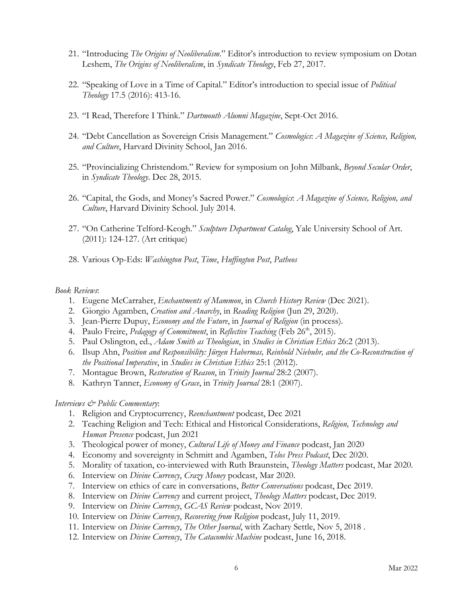- 21. "Introducing *The Origins of Neoliberalism*." Editor's introduction to review symposium on Dotan Leshem, *The Origins of Neoliberalism*, in *Syndicate Theology*, Feb 27, 2017.
- 22. "Speaking of Love in a Time of Capital." Editor's introduction to special issue of *Political Theology* 17.5 (2016): 413-16.
- 23. "I Read, Therefore I Think." *Dartmouth Alumni Magazine*, Sept-Oct 2016.
- 24. "Debt Cancellation as Sovereign Crisis Management." *Cosmologics*: *A Magazine of Science, Religion, and Culture*, Harvard Divinity School, Jan 2016.
- 25. "Provincializing Christendom." Review for symposium on John Milbank, *Beyond Secular Order*, in *Syndicate Theology*. Dec 28, 2015.
- 26. "Capital, the Gods, and Money's Sacred Power." *Cosmologics*: *A Magazine of Science, Religion, and Culture*, Harvard Divinity School. July 2014.
- 27. "On Catherine Telford-Keogh." *Sculpture Department Catalog*, Yale University School of Art. (2011): 124-127. (Art critique)
- 28. Various Op-Eds: *Washington Post*, *Time*, *Huffington Post*, *Patheos*

#### *Book Reviews*:

- 1. Eugene McCarraher, *Enchantments of Mammon*, in *Church History Review* (Dec 2021).
- 2. Giorgio Agamben, *Creation and Anarchy*, in *Reading Religion* (Jun 29, 2020).
- 3. Jean-Pierre Dupuy, *Economy and the Future*, in *Journal of Religion* (in process).
- 4. Paulo Freire, *Pedagogy of Commitment*, in *Reflective Teaching* (Feb 26<sup>th</sup>, 2015).
- 5. Paul Oslington, ed., *Adam Smith as Theologian*, in *Studies in Christian Ethics* 26:2 (2013).
- 6. Ilsup Ahn, *Position and Responsibility: Jürgen Habermas, Reinhold Niebuhr, and the Co-Reconstruction of the Positional Imperative*, in *Studies in Christian Ethics* 25:1 (2012).
- 7. Montague Brown, *Restoration of Reason*, in *Trinity Journal* 28:2 (2007).
- 8. Kathryn Tanner, *Economy of Grace*, in *Trinity Journal* 28:1 (2007).

#### *Interviews & Public Commentary*:

- 1. Religion and Cryptocurrency, *Reenchantment* podcast, Dec 2021
- 2. Teaching Religion and Tech: Ethical and Historical Considerations, *Religion, Technology and Human Presence* podcast, Jun 2021
- 3. Theological power of money, *Cultural Life of Money and Finance* podcast, Jan 2020
- 4. Economy and sovereignty in Schmitt and Agamben, *Telos Press Podcast*, Dec 2020.
- 5. Morality of taxation, co-interviewed with Ruth Braunstein, *Theology Matters* podcast, Mar 2020.
- 6. Interview on *Divine Currency*, *Crazy Money* podcast, Mar 2020.
- 7. Interview on ethics of care in conversations, *Better Conversations* podcast, Dec 2019.
- 8. Interview on *Divine Currency* and current project, *Theology Matters* podcast, Dec 2019.
- 9. Interview on *Divine Currency*, *GCAS Review* podcast, Nov 2019.
- 10. Interview on *Divine Currency*, *Recovering from Religion* podcast, July 11, 2019.
- 11. Interview on *Divine Currency*, *The Other Journal*, with Zachary Settle, Nov 5, 2018 .
- 12. Interview on *Divine Currency*, *The Catacombic Machine* podcast, June 16, 2018.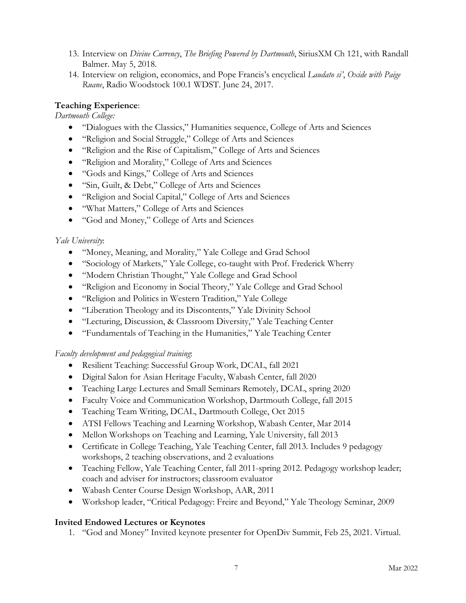- 13. Interview on *Divine Currency*, *The Briefing Powered by Dartmouth*, SiriusXM Ch 121, with Randall Balmer. May 5, 2018.
- 14. Interview on religion, economics, and Pope Francis's encyclical *Laudato si'*, *Oxide with Paige Ruane*, Radio Woodstock 100.1 WDST. June 24, 2017.

## **Teaching Experience**:

*Dartmouth College:*

- "Dialogues with the Classics," Humanities sequence, College of Arts and Sciences
- "Religion and Social Struggle," College of Arts and Sciences
- "Religion and the Rise of Capitalism," College of Arts and Sciences
- "Religion and Morality," College of Arts and Sciences
- "Gods and Kings," College of Arts and Sciences
- "Sin, Guilt, & Debt," College of Arts and Sciences
- "Religion and Social Capital," College of Arts and Sciences
- "What Matters," College of Arts and Sciences
- "God and Money," College of Arts and Sciences

## *Yale University*:

- "Money, Meaning, and Morality," Yale College and Grad School
- "Sociology of Markets," Yale College, co-taught with Prof. Frederick Wherry
- "Modern Christian Thought," Yale College and Grad School
- "Religion and Economy in Social Theory," Yale College and Grad School
- "Religion and Politics in Western Tradition," Yale College
- "Liberation Theology and its Discontents," Yale Divinity School
- "Lecturing, Discussion, & Classroom Diversity," Yale Teaching Center
- "Fundamentals of Teaching in the Humanities," Yale Teaching Center

## *Faculty development and pedagogical training*:

- Resilient Teaching: Successful Group Work, DCAL, fall 2021
- Digital Salon for Asian Heritage Faculty, Wabash Center, fall 2020
- Teaching Large Lectures and Small Seminars Remotely, DCAL, spring 2020
- Faculty Voice and Communication Workshop, Dartmouth College, fall 2015
- Teaching Team Writing, DCAL, Dartmouth College, Oct 2015
- ATSI Fellows Teaching and Learning Workshop, Wabash Center, Mar 2014
- Mellon Workshops on Teaching and Learning, Yale University, fall 2013
- Certificate in College Teaching, Yale Teaching Center, fall 2013. Includes 9 pedagogy workshops, 2 teaching observations, and 2 evaluations
- Teaching Fellow, Yale Teaching Center, fall 2011-spring 2012. Pedagogy workshop leader; coach and adviser for instructors; classroom evaluator
- Wabash Center Course Design Workshop, AAR, 2011
- Workshop leader, "Critical Pedagogy: Freire and Beyond," Yale Theology Seminar, 2009

## **Invited Endowed Lectures or Keynotes**

1. "God and Money" Invited keynote presenter for OpenDiv Summit, Feb 25, 2021. Virtual.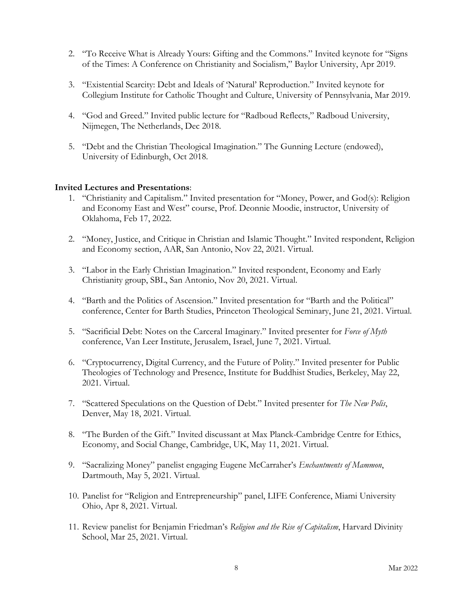- 2. "To Receive What is Already Yours: Gifting and the Commons." Invited keynote for "Signs of the Times: A Conference on Christianity and Socialism," Baylor University, Apr 2019.
- 3. "Existential Scarcity: Debt and Ideals of 'Natural' Reproduction." Invited keynote for Collegium Institute for Catholic Thought and Culture, University of Pennsylvania, Mar 2019.
- 4. "God and Greed." Invited public lecture for "Radboud Reflects," Radboud University, Nijmegen, The Netherlands, Dec 2018.
- 5. "Debt and the Christian Theological Imagination." The Gunning Lecture (endowed), University of Edinburgh, Oct 2018.

### **Invited Lectures and Presentations**:

- 1. "Christianity and Capitalism." Invited presentation for "Money, Power, and God(s): Religion and Economy East and West" course, Prof. Deonnie Moodie, instructor, University of Oklahoma, Feb 17, 2022.
- 2. "Money, Justice, and Critique in Christian and Islamic Thought." Invited respondent, Religion and Economy section, AAR, San Antonio, Nov 22, 2021. Virtual.
- 3. "Labor in the Early Christian Imagination." Invited respondent, Economy and Early Christianity group, SBL, San Antonio, Nov 20, 2021. Virtual.
- 4. "Barth and the Politics of Ascension." Invited presentation for "Barth and the Political" conference, Center for Barth Studies, Princeton Theological Seminary, June 21, 2021. Virtual.
- 5. "Sacrificial Debt: Notes on the Carceral Imaginary." Invited presenter for *Force of Myth* conference, Van Leer Institute, Jerusalem, Israel, June 7, 2021. Virtual.
- 6. "Cryptocurrency, Digital Currency, and the Future of Polity." Invited presenter for Public Theologies of Technology and Presence, Institute for Buddhist Studies, Berkeley, May 22, 2021. Virtual.
- 7. "Scattered Speculations on the Question of Debt." Invited presenter for *The New Polis*, Denver, May 18, 2021. Virtual.
- 8. "The Burden of the Gift." Invited discussant at Max Planck-Cambridge Centre for Ethics, Economy, and Social Change, Cambridge, UK, May 11, 2021. Virtual.
- 9. "Sacralizing Money" panelist engaging Eugene McCarraher's *Enchantments of Mammon*, Dartmouth, May 5, 2021. Virtual.
- 10. Panelist for "Religion and Entrepreneurship" panel, LIFE Conference, Miami University Ohio, Apr 8, 2021. Virtual.
- 11. Review panelist for Benjamin Friedman's *Religion and the Rise of Capitalism*, Harvard Divinity School, Mar 25, 2021. Virtual.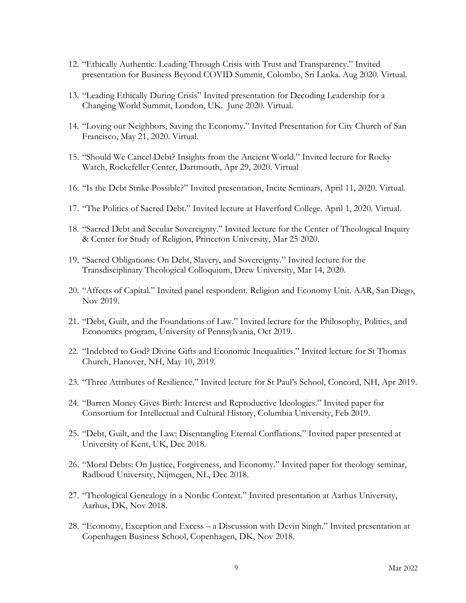- 12. "Ethically Authentic: Leading Through Crisis with Trust and Transparency." Invited presentation for Business Beyond COVID Summit, Colombo, Sri Lanka. Aug 2020. Virtual.
- 13. "Leading Ethically During Crisis" Invited presentation for Decoding Leadership for a Changing World Summit, London, UK. June 2020. Virtual.
- 14. "Loving our Neighbors, Saving the Economy." Invited Presentation for City Church of San Francisco, May 21, 2020. Virtual.
- 15. "Should We Cancel Debt? Insights from the Ancient World." Invited lecture for Rocky Watch, Rockefeller Center, Dartmouth, Apr 29, 2020. Virtual
- 16. "Is the Debt Strike Possible?" Invited presentation, Incite Seminars, April 11, 2020. Virtual.
- 17. "The Politics of Sacred Debt." Invited lecture at Haverford College. April 1, 2020. Virtual.
- 18. "Sacred Debt and Secular Sovereignty." Invited lecture for the Center of Theological Inquiry & Center for Study of Religion, Princeton University, Mar 25 2020.
- 19. "Sacred Obligations: On Debt, Slavery, and Sovereignty." Invited lecture for the Transdisciplinary Theological Colloquium, Drew University, Mar 14, 2020.
- 20. "Affects of Capital." Invited panel respondent. Religion and Economy Unit. AAR, San Diego, Nov 2019.
- 21. "Debt, Guilt, and the Foundations of Law." Invited lecture for the Philosophy, Politics, and Economics program, University of Pennsylvania, Oct 2019.
- 22. "Indebted to God? Divine Gifts and Economic Inequalities." Invited lecture for St Thomas Church, Hanover, NH, May 10, 2019.
- 23. "Three Attributes of Resilience." Invited lecture for St Paul's School, Concord, NH, Apr 2019.
- 24. "Barren Money Gives Birth: Interest and Reproductive Ideologies." Invited paper for Consortium for Intellectual and Cultural History, Columbia University, Feb 2019.
- 25. "Debt, Guilt, and the Law: Disentangling Eternal Conflations." Invited paper presented at University of Kent, UK, Dec 2018.
- 26. "Moral Debts: On Justice, Forgiveness, and Economy." Invited paper for theology seminar, Radboud University, Nijmegen, NL, Dec 2018.
- 27. "Theological Genealogy in a Nordic Context." Invited presentation at Aarhus University, Aarhus, DK, Nov 2018.
- 28. "Economy, Exception and Excess a Discussion with Devin Singh." Invited presentation at Copenhagen Business School, Copenhagen, DK, Nov 2018.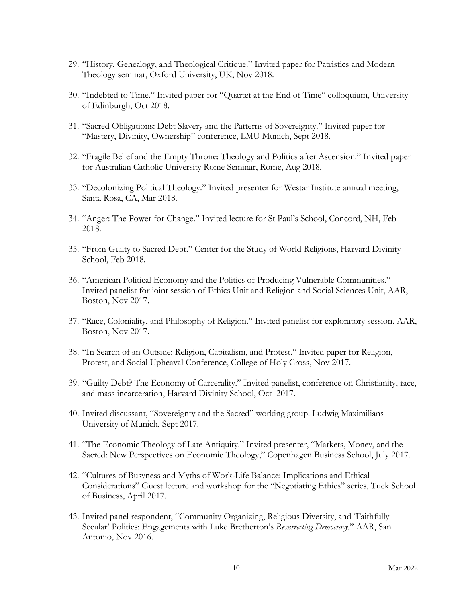- 29. "History, Genealogy, and Theological Critique." Invited paper for Patristics and Modern Theology seminar, Oxford University, UK, Nov 2018.
- 30. "Indebted to Time." Invited paper for "Quartet at the End of Time" colloquium, University of Edinburgh, Oct 2018.
- 31. "Sacred Obligations: Debt Slavery and the Patterns of Sovereignty." Invited paper for "Mastery, Divinity, Ownership" conference, LMU Munich, Sept 2018.
- 32. "Fragile Belief and the Empty Throne: Theology and Politics after Ascension." Invited paper for Australian Catholic University Rome Seminar, Rome, Aug 2018.
- 33. "Decolonizing Political Theology." Invited presenter for Westar Institute annual meeting, Santa Rosa, CA, Mar 2018.
- 34. "Anger: The Power for Change." Invited lecture for St Paul's School, Concord, NH, Feb 2018.
- 35. "From Guilty to Sacred Debt." Center for the Study of World Religions, Harvard Divinity School, Feb 2018.
- 36. "American Political Economy and the Politics of Producing Vulnerable Communities." Invited panelist for joint session of Ethics Unit and Religion and Social Sciences Unit, AAR, Boston, Nov 2017.
- 37. "Race, Coloniality, and Philosophy of Religion." Invited panelist for exploratory session. AAR, Boston, Nov 2017.
- 38. "In Search of an Outside: Religion, Capitalism, and Protest." Invited paper for Religion, Protest, and Social Upheaval Conference, College of Holy Cross, Nov 2017.
- 39. "Guilty Debt? The Economy of Carcerality." Invited panelist, conference on Christianity, race, and mass incarceration, Harvard Divinity School, Oct 2017.
- 40. Invited discussant, "Sovereignty and the Sacred" working group. Ludwig Maximilians University of Munich, Sept 2017.
- 41. "The Economic Theology of Late Antiquity." Invited presenter, "Markets, Money, and the Sacred: New Perspectives on Economic Theology," Copenhagen Business School, July 2017.
- 42. "Cultures of Busyness and Myths of Work-Life Balance: Implications and Ethical Considerations" Guest lecture and workshop for the "Negotiating Ethics" series, Tuck School of Business, April 2017.
- 43. Invited panel respondent, "Community Organizing, Religious Diversity, and 'Faithfully Secular' Politics: Engagements with Luke Bretherton's *Resurrecting Democracy*," AAR, San Antonio, Nov 2016.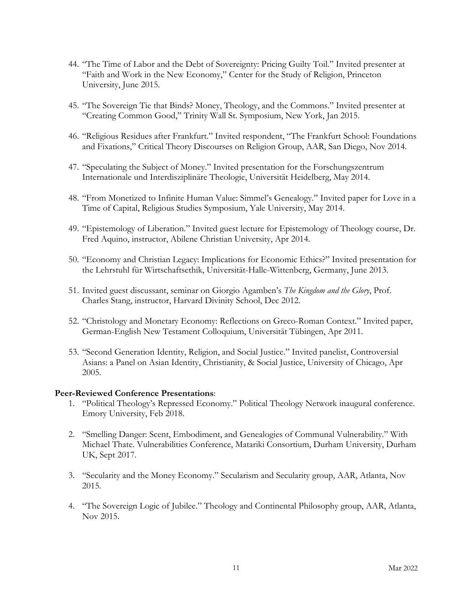- 44. "The Time of Labor and the Debt of Sovereignty: Pricing Guilty Toil." Invited presenter at "Faith and Work in the New Economy," Center for the Study of Religion, Princeton University, June 2015.
- 45. "The Sovereign Tie that Binds? Money, Theology, and the Commons." Invited presenter at "Creating Common Good," Trinity Wall St. Symposium, New York, Jan 2015.
- 46. "Religious Residues after Frankfurt." Invited respondent, "The Frankfurt School: Foundations and Fixations," Critical Theory Discourses on Religion Group, AAR, San Diego, Nov 2014.
- 47. "Speculating the Subject of Money." Invited presentation for the Forschungszentrum Internationale und Interdisziplinäre Theologie, Universität Heidelberg, May 2014.
- 48. "From Monetized to Infinite Human Value: Simmel's Genealogy." Invited paper for Love in a Time of Capital, Religious Studies Symposium, Yale University, May 2014.
- 49. "Epistemology of Liberation." Invited guest lecture for Epistemology of Theology course, Dr. Fred Aquino, instructor, Abilene Christian University, Apr 2014.
- 50. "Economy and Christian Legacy: Implications for Economic Ethics?" Invited presentation for the Lehrstuhl für Wirtschaftsethik, Universität-Halle-Wittenberg, Germany, June 2013.
- 51. Invited guest discussant, seminar on Giorgio Agamben's *The Kingdom and the Glory*, Prof. Charles Stang, instructor, Harvard Divinity School, Dec 2012.
- 52. "Christology and Monetary Economy: Reflections on Greco-Roman Context." Invited paper, German-English New Testament Colloquium, Universität Tübingen, Apr 2011.
- 53. "Second Generation Identity, Religion, and Social Justice." Invited panelist, Controversial Asians: a Panel on Asian Identity, Christianity, & Social Justice, University of Chicago, Apr 2005.

#### **Peer-Reviewed Conference Presentations**:

- 1. "Political Theology's Repressed Economy." Political Theology Network inaugural conference. Emory University, Feb 2018.
- 2. "Smelling Danger: Scent, Embodiment, and Genealogies of Communal Vulnerability." With Michael Thate. Vulnerabilities Conference, Matariki Consortium, Durham University, Durham UK, Sept 2017.
- 3. "Secularity and the Money Economy." Secularism and Secularity group, AAR, Atlanta, Nov 2015.
- 4. "The Sovereign Logic of Jubilee." Theology and Continental Philosophy group, AAR, Atlanta, Nov 2015.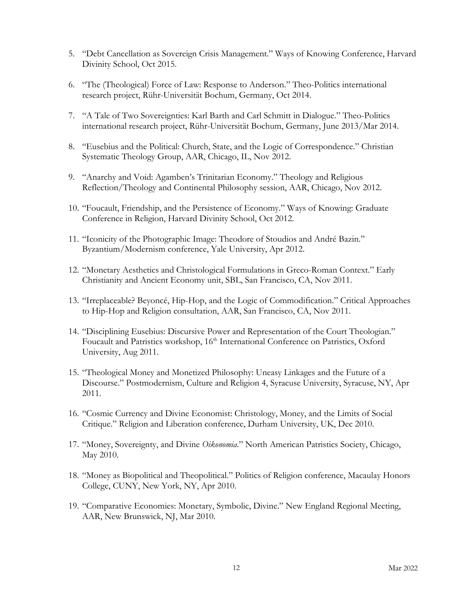- 5. "Debt Cancellation as Sovereign Crisis Management." Ways of Knowing Conference, Harvard Divinity School, Oct 2015.
- 6. "The (Theological) Force of Law: Response to Anderson." Theo-Politics international research project, Rühr-Universität Bochum, Germany, Oct 2014.
- 7. "A Tale of Two Sovereignties: Karl Barth and Carl Schmitt in Dialogue." Theo-Politics international research project, Rühr-Universität Bochum, Germany, June 2013/Mar 2014.
- 8. "Eusebius and the Political: Church, State, and the Logic of Correspondence." Christian Systematic Theology Group, AAR, Chicago, IL, Nov 2012.
- 9. "Anarchy and Void: Agamben's Trinitarian Economy." Theology and Religious Reflection/Theology and Continental Philosophy session, AAR, Chicago, Nov 2012.
- 10. "Foucault, Friendship, and the Persistence of Economy." Ways of Knowing: Graduate Conference in Religion, Harvard Divinity School, Oct 2012.
- 11. "Iconicity of the Photographic Image: Theodore of Stoudios and André Bazin." Byzantium/Modernism conference, Yale University, Apr 2012.
- 12. "Monetary Aesthetics and Christological Formulations in Greco-Roman Context." Early Christianity and Ancient Economy unit, SBL, San Francisco, CA, Nov 2011.
- 13. "Irreplaceable? Beyoncé, Hip-Hop, and the Logic of Commodification." Critical Approaches to Hip-Hop and Religion consultation, AAR, San Francisco, CA, Nov 2011.
- 14. "Disciplining Eusebius: Discursive Power and Representation of the Court Theologian." Foucault and Patristics workshop, 16<sup>th</sup> International Conference on Patristics, Oxford University, Aug 2011.
- 15. "Theological Money and Monetized Philosophy: Uneasy Linkages and the Future of a Discourse." Postmodernism, Culture and Religion 4, Syracuse University, Syracuse, NY, Apr 2011.
- 16. "Cosmic Currency and Divine Economist: Christology, Money, and the Limits of Social Critique." Religion and Liberation conference, Durham University, UK, Dec 2010.
- 17. "Money, Sovereignty, and Divine *Oikonomia*." North American Patristics Society, Chicago, May 2010.
- 18. "Money as Biopolitical and Theopolitical." Politics of Religion conference, Macaulay Honors College, CUNY, New York, NY, Apr 2010.
- 19. "Comparative Economies: Monetary, Symbolic, Divine." New England Regional Meeting, AAR, New Brunswick, NJ, Mar 2010.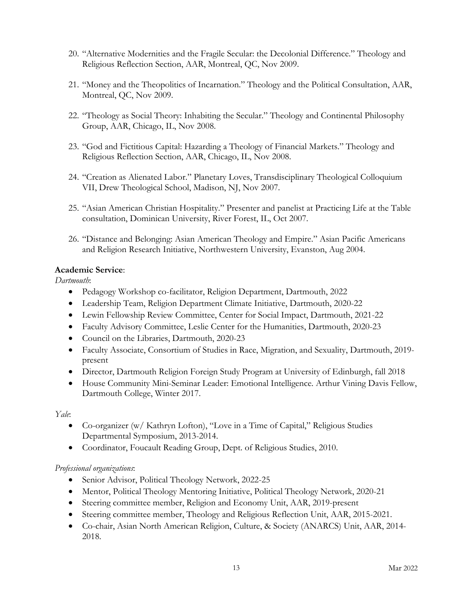- 20. "Alternative Modernities and the Fragile Secular: the Decolonial Difference." Theology and Religious Reflection Section, AAR, Montreal, QC, Nov 2009.
- 21. "Money and the Theopolitics of Incarnation." Theology and the Political Consultation, AAR, Montreal, QC, Nov 2009.
- 22. "Theology as Social Theory: Inhabiting the Secular." Theology and Continental Philosophy Group, AAR, Chicago, IL, Nov 2008.
- 23. "God and Fictitious Capital: Hazarding a Theology of Financial Markets." Theology and Religious Reflection Section, AAR, Chicago, IL, Nov 2008.
- 24. "Creation as Alienated Labor." Planetary Loves, Transdisciplinary Theological Colloquium VII, Drew Theological School, Madison, NJ, Nov 2007.
- 25. "Asian American Christian Hospitality." Presenter and panelist at Practicing Life at the Table consultation, Dominican University, River Forest, IL, Oct 2007.
- 26. "Distance and Belonging: Asian American Theology and Empire." Asian Pacific Americans and Religion Research Initiative, Northwestern University, Evanston, Aug 2004.

### **Academic Service**:

*Dartmouth*:

- Pedagogy Workshop co-facilitator, Religion Department, Dartmouth, 2022
- Leadership Team, Religion Department Climate Initiative, Dartmouth, 2020-22
- Lewin Fellowship Review Committee, Center for Social Impact, Dartmouth, 2021-22
- Faculty Advisory Committee, Leslie Center for the Humanities, Dartmouth, 2020-23
- Council on the Libraries, Dartmouth, 2020-23
- Faculty Associate, Consortium of Studies in Race, Migration, and Sexuality, Dartmouth, 2019present
- Director, Dartmouth Religion Foreign Study Program at University of Edinburgh, fall 2018
- House Community Mini-Seminar Leader: Emotional Intelligence. Arthur Vining Davis Fellow, Dartmouth College, Winter 2017.

### *Yale*:

- Co-organizer (w/ Kathryn Lofton), "Love in a Time of Capital," Religious Studies Departmental Symposium, 2013-2014.
- Coordinator, Foucault Reading Group, Dept. of Religious Studies, 2010.

### *Professional organizations*:

- Senior Advisor, Political Theology Network, 2022-25
- Mentor, Political Theology Mentoring Initiative, Political Theology Network, 2020-21
- Steering committee member, Religion and Economy Unit, AAR, 2019-present
- Steering committee member, Theology and Religious Reflection Unit, AAR, 2015-2021.
- Co-chair, Asian North American Religion, Culture, & Society (ANARCS) Unit, AAR, 2014- 2018.